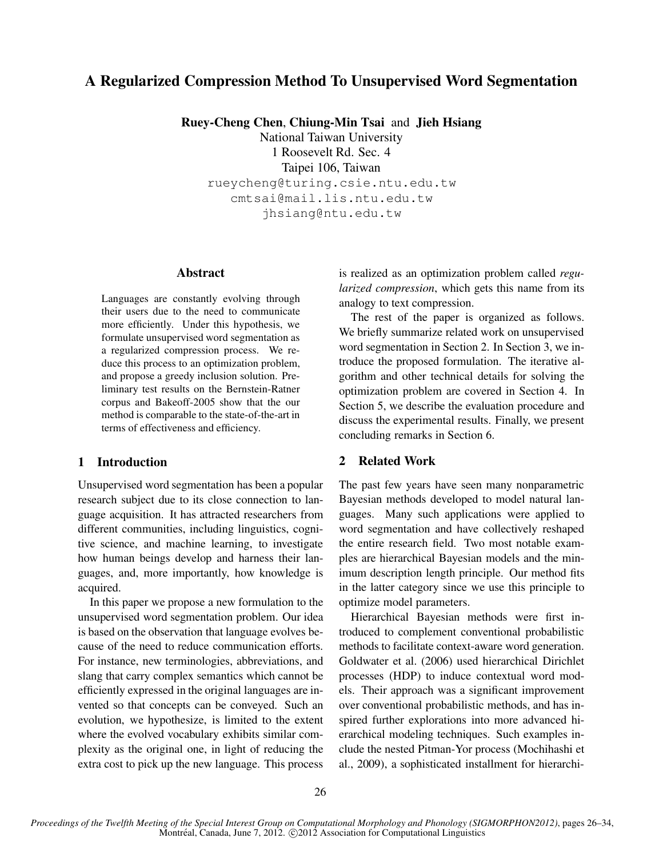# **A Regularized Compression Method To Unsupervised Word Segmentation**

**Ruey-Cheng Chen**, **Chiung-Min Tsai** and **Jieh Hsiang**

National Taiwan University

1 Roosevelt Rd. Sec. 4

Taipei 106, Taiwan

rueycheng@turing.csie.ntu.edu.tw cmtsai@mail.lis.ntu.edu.tw

jhsiang@ntu.edu.tw

### **Abstract**

Languages are constantly evolving through their users due to the need to communicate more efficiently. Under this hypothesis, we formulate unsupervised word segmentation as a regularized compression process. We reduce this process to an optimization problem, and propose a greedy inclusion solution. Preliminary test results on the Bernstein-Ratner corpus and Bakeoff-2005 show that the our method is comparable to the state-of-the-art in terms of effectiveness and efficiency.

### **1 Introduction**

Unsupervised word segmentation has been a popular research subject due to its close connection to language acquisition. It has attracted researchers from different communities, including linguistics, cognitive science, and machine learning, to investigate how human beings develop and harness their languages, and, more importantly, how knowledge is acquired.

In this paper we propose a new formulation to the unsupervised word segmentation problem. Our idea is based on the observation that language evolves because of the need to reduce communication efforts. For instance, new terminologies, abbreviations, and slang that carry complex semantics which cannot be efficiently expressed in the original languages are invented so that concepts can be conveyed. Such an evolution, we hypothesize, is limited to the extent where the evolved vocabulary exhibits similar complexity as the original one, in light of reducing the extra cost to pick up the new language. This process is realized as an optimization problem called *regularized compression*, which gets this name from its analogy to text compression.

The rest of the paper is organized as follows. We briefly summarize related work on unsupervised word segmentation in Section 2. In Section 3, we introduce the proposed formulation. The iterative algorithm and other technical details for solving the optimization problem are covered in Section 4. In Section 5, we describe the evaluation procedure and discuss the experimental results. Finally, we present concluding remarks in Section 6.

## **2 Related Work**

The past few years have seen many nonparametric Bayesian methods developed to model natural languages. Many such applications were applied to word segmentation and have collectively reshaped the entire research field. Two most notable examples are hierarchical Bayesian models and the minimum description length principle. Our method fits in the latter category since we use this principle to optimize model parameters.

Hierarchical Bayesian methods were first introduced to complement conventional probabilistic methods to facilitate context-aware word generation. Goldwater et al. (2006) used hierarchical Dirichlet processes (HDP) to induce contextual word models. Their approach was a significant improvement over conventional probabilistic methods, and has inspired further explorations into more advanced hierarchical modeling techniques. Such examples include the nested Pitman-Yor process (Mochihashi et al., 2009), a sophisticated installment for hierarchi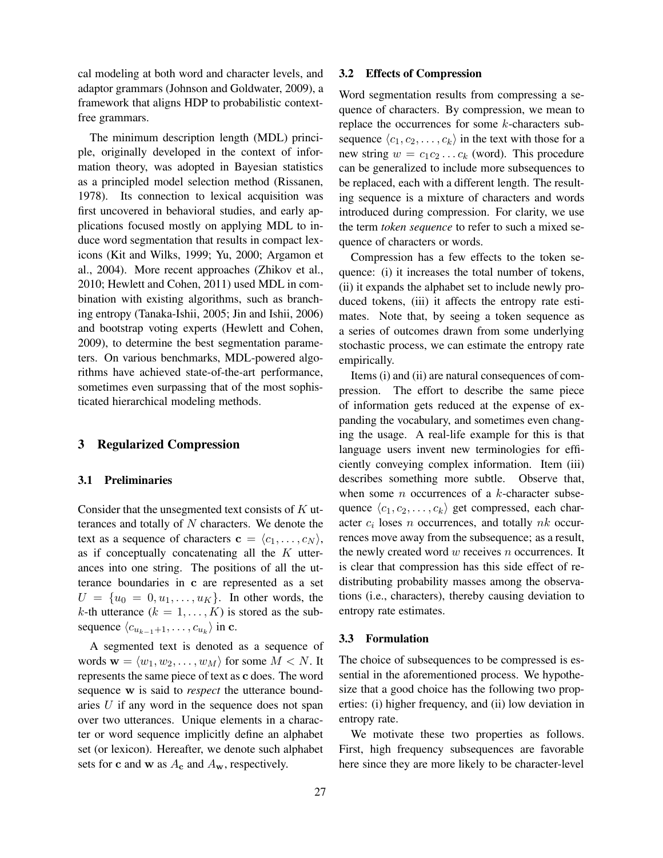cal modeling at both word and character levels, and adaptor grammars (Johnson and Goldwater, 2009), a framework that aligns HDP to probabilistic contextfree grammars.

The minimum description length (MDL) principle, originally developed in the context of information theory, was adopted in Bayesian statistics as a principled model selection method (Rissanen, 1978). Its connection to lexical acquisition was first uncovered in behavioral studies, and early applications focused mostly on applying MDL to induce word segmentation that results in compact lexicons (Kit and Wilks, 1999; Yu, 2000; Argamon et al., 2004). More recent approaches (Zhikov et al., 2010; Hewlett and Cohen, 2011) used MDL in combination with existing algorithms, such as branching entropy (Tanaka-Ishii, 2005; Jin and Ishii, 2006) and bootstrap voting experts (Hewlett and Cohen, 2009), to determine the best segmentation parameters. On various benchmarks, MDL-powered algorithms have achieved state-of-the-art performance, sometimes even surpassing that of the most sophisticated hierarchical modeling methods.

### **3 Regularized Compression**

#### **3.1 Preliminaries**

Consider that the unsegmented text consists of  $K$  utterances and totally of  $N$  characters. We denote the text as a sequence of characters  $\mathbf{c} = \langle c_1, \dots, c_N \rangle$ , as if conceptually concatenating all the  $K$  utterances into one string. The positions of all the utterance boundaries in c are represented as a set  $U = \{u_0 = 0, u_1, \dots, u_K\}$ . In other words, the k-th utterance  $(k = 1, ..., K)$  is stored as the subsequence  $\langle c_{u_{k-1}+1}, \ldots, c_{u_k} \rangle$  in c.

A segmented text is denoted as a sequence of words  $\mathbf{w} = \langle w_1, w_2, \dots, w_M \rangle$  for some  $M < N$ . It represents the same piece of text as c does. The word sequence w is said to *respect* the utterance boundaries U if any word in the sequence does not span over two utterances. Unique elements in a character or word sequence implicitly define an alphabet set (or lexicon). Hereafter, we denote such alphabet sets for c and w as  $A_c$  and  $A_w$ , respectively.

#### **3.2 Effects of Compression**

Word segmentation results from compressing a sequence of characters. By compression, we mean to replace the occurrences for some k-characters subsequence  $\langle c_1, c_2, \ldots, c_k \rangle$  in the text with those for a new string  $w = c_1 c_2 \dots c_k$  (word). This procedure can be generalized to include more subsequences to be replaced, each with a different length. The resulting sequence is a mixture of characters and words introduced during compression. For clarity, we use the term *token sequence* to refer to such a mixed sequence of characters or words.

Compression has a few effects to the token sequence: (i) it increases the total number of tokens, (ii) it expands the alphabet set to include newly produced tokens, (iii) it affects the entropy rate estimates. Note that, by seeing a token sequence as a series of outcomes drawn from some underlying stochastic process, we can estimate the entropy rate empirically.

Items (i) and (ii) are natural consequences of compression. The effort to describe the same piece of information gets reduced at the expense of expanding the vocabulary, and sometimes even changing the usage. A real-life example for this is that language users invent new terminologies for efficiently conveying complex information. Item (iii) describes something more subtle. Observe that, when some  $n$  occurrences of a  $k$ -character subsequence  $\langle c_1, c_2, \ldots, c_k \rangle$  get compressed, each character  $c_i$  loses n occurrences, and totally  $nk$  occurrences move away from the subsequence; as a result, the newly created word  $w$  receives  $n$  occurrences. It is clear that compression has this side effect of redistributing probability masses among the observations (i.e., characters), thereby causing deviation to entropy rate estimates.

#### **3.3 Formulation**

The choice of subsequences to be compressed is essential in the aforementioned process. We hypothesize that a good choice has the following two properties: (i) higher frequency, and (ii) low deviation in entropy rate.

We motivate these two properties as follows. First, high frequency subsequences are favorable here since they are more likely to be character-level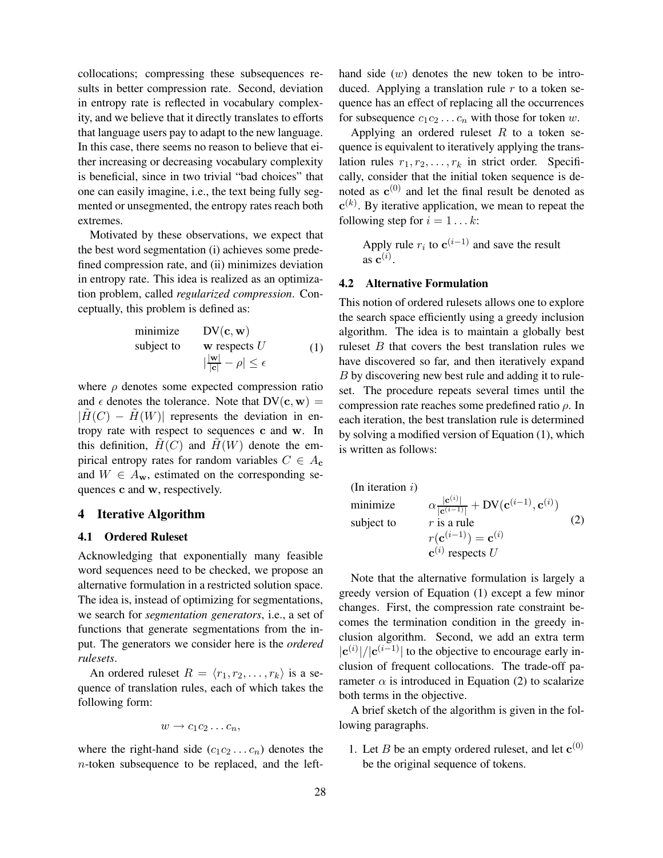collocations; compressing these subsequences results in better compression rate. Second, deviation in entropy rate is reflected in vocabulary complexity, and we believe that it directly translates to efforts that language users pay to adapt to the new language. In this case, there seems no reason to believe that either increasing or decreasing vocabulary complexity is beneficial, since in two trivial "bad choices" that one can easily imagine, i.e., the text being fully segmented or unsegmented, the entropy rates reach both extremes.

Motivated by these observations, we expect that the best word segmentation (i) achieves some predefined compression rate, and (ii) minimizes deviation in entropy rate. This idea is realized as an optimization problem, called *regularized compression*. Conceptually, this problem is defined as:

minimize 
$$
\text{DV}(\mathbf{c}, \mathbf{w})
$$
  
subject to  $\mathbf{w}$  respects  $U$   

$$
|\frac{|\mathbf{w}|}{|\mathbf{c}|} - \rho| \le \epsilon
$$
 (1)

where  $\rho$  denotes some expected compression ratio and  $\epsilon$  denotes the tolerance. Note that  $DV(c, w) =$  $|H(C) - H(W)|$  represents the deviation in entropy rate with respect to sequences c and w. In this definition,  $H(C)$  and  $H(W)$  denote the empirical entropy rates for random variables  $C \in A_c$ and  $W \in A_{\bf w}$ , estimated on the corresponding sequences c and w, respectively.

#### **4 Iterative Algorithm**

## **4.1 Ordered Ruleset**

Acknowledging that exponentially many feasible word sequences need to be checked, we propose an alternative formulation in a restricted solution space. The idea is, instead of optimizing for segmentations, we search for *segmentation generators*, i.e., a set of functions that generate segmentations from the input. The generators we consider here is the *ordered rulesets*.

An ordered ruleset  $R = \langle r_1, r_2, \ldots, r_k \rangle$  is a sequence of translation rules, each of which takes the following form:

$$
w \to c_1 c_2 \ldots c_n,
$$

where the right-hand side  $(c_1c_2 \ldots c_n)$  denotes the n-token subsequence to be replaced, and the lefthand side  $(w)$  denotes the new token to be introduced. Applying a translation rule  $r$  to a token sequence has an effect of replacing all the occurrences for subsequence  $c_1c_2 \ldots c_n$  with those for token w.

Applying an ordered ruleset  $R$  to a token sequence is equivalent to iteratively applying the translation rules  $r_1, r_2, \ldots, r_k$  in strict order. Specifically, consider that the initial token sequence is denoted as  $\mathbf{c}^{(0)}$  and let the final result be denoted as  $c^{(k)}$ . By iterative application, we mean to repeat the following step for  $i = 1...k$ :

> Apply rule  $r_i$  to  $\mathbf{c}^{(i-1)}$  and save the result  $\overline{\mathbf{a}}\cdot\overline{\mathbf{c}}^{(i)}$ .

### **4.2 Alternative Formulation**

This notion of ordered rulesets allows one to explore the search space efficiently using a greedy inclusion algorithm. The idea is to maintain a globally best ruleset B that covers the best translation rules we have discovered so far, and then iteratively expand B by discovering new best rule and adding it to ruleset. The procedure repeats several times until the compression rate reaches some predefined ratio  $\rho$ . In each iteration, the best translation rule is determined by solving a modified version of Equation (1), which is written as follows:

(In iteration *i*)  
\nminimize  
\nsubject to  
\n
$$
\alpha \frac{|\mathbf{c}^{(i)}|}{|\mathbf{c}^{(i-1)}|} + \text{DV}(\mathbf{c}^{(i-1)}, \mathbf{c}^{(i)})
$$
\n
$$
r \text{ is a rule}\n
$$
r(\mathbf{c}^{(i-1)}) = \mathbf{c}^{(i)}
$$
\n
$$
\mathbf{c}^{(i)} \text{ respects } U
$$
\n(2)
$$

Note that the alternative formulation is largely a greedy version of Equation (1) except a few minor changes. First, the compression rate constraint becomes the termination condition in the greedy inclusion algorithm. Second, we add an extra term  $|c^{(i)}|/|c^{(i-1)}|$  to the objective to encourage early inclusion of frequent collocations. The trade-off parameter  $\alpha$  is introduced in Equation (2) to scalarize both terms in the objective.

A brief sketch of the algorithm is given in the following paragraphs.

1. Let *B* be an empty ordered ruleset, and let  $c^{(0)}$ be the original sequence of tokens.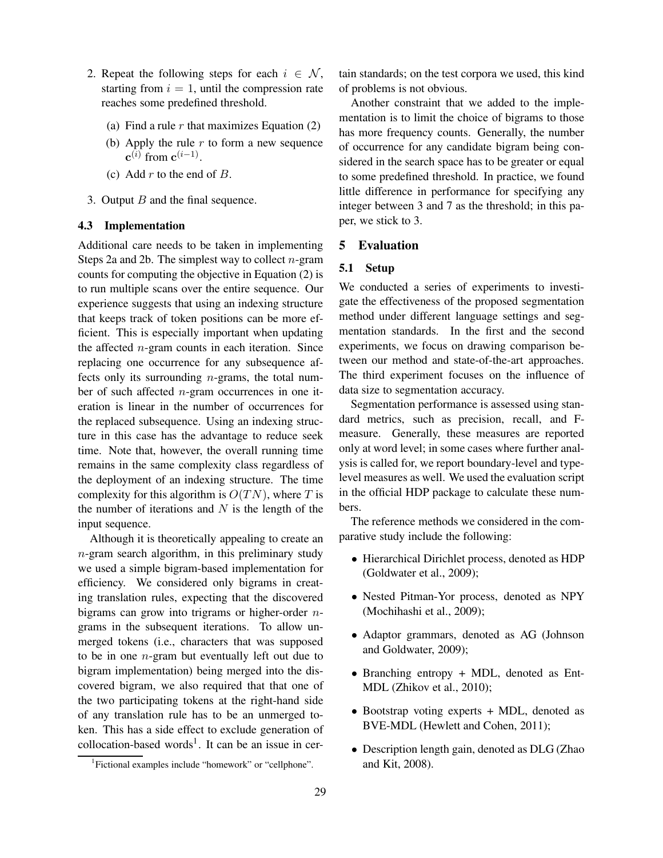- 2. Repeat the following steps for each  $i \in \mathcal{N}$ , starting from  $i = 1$ , until the compression rate reaches some predefined threshold.
	- (a) Find a rule  $r$  that maximizes Equation (2)
	- (b) Apply the rule  $r$  to form a new sequence  $\mathbf{c}^{(i)}$  from  $\mathbf{c}^{(i-1)}$ .
	- (c) Add  $r$  to the end of  $B$ .
- 3. Output *B* and the final sequence.

### **4.3 Implementation**

Additional care needs to be taken in implementing Steps 2a and 2b. The simplest way to collect  $n$ -gram counts for computing the objective in Equation (2) is to run multiple scans over the entire sequence. Our experience suggests that using an indexing structure that keeps track of token positions can be more efficient. This is especially important when updating the affected  $n$ -gram counts in each iteration. Since replacing one occurrence for any subsequence affects only its surrounding n-grams, the total number of such affected n-gram occurrences in one iteration is linear in the number of occurrences for the replaced subsequence. Using an indexing structure in this case has the advantage to reduce seek time. Note that, however, the overall running time remains in the same complexity class regardless of the deployment of an indexing structure. The time complexity for this algorithm is  $O(TN)$ , where T is the number of iterations and  $N$  is the length of the input sequence.

Although it is theoretically appealing to create an  $n$ -gram search algorithm, in this preliminary study we used a simple bigram-based implementation for efficiency. We considered only bigrams in creating translation rules, expecting that the discovered bigrams can grow into trigrams or higher-order  $n$ grams in the subsequent iterations. To allow unmerged tokens (i.e., characters that was supposed to be in one  $n$ -gram but eventually left out due to bigram implementation) being merged into the discovered bigram, we also required that that one of the two participating tokens at the right-hand side of any translation rule has to be an unmerged token. This has a side effect to exclude generation of  $\text{collocation-based words}^1$ . It can be an issue in certain standards; on the test corpora we used, this kind of problems is not obvious.

Another constraint that we added to the implementation is to limit the choice of bigrams to those has more frequency counts. Generally, the number of occurrence for any candidate bigram being considered in the search space has to be greater or equal to some predefined threshold. In practice, we found little difference in performance for specifying any integer between 3 and 7 as the threshold; in this paper, we stick to 3.

## **5 Evaluation**

#### **5.1 Setup**

We conducted a series of experiments to investigate the effectiveness of the proposed segmentation method under different language settings and segmentation standards. In the first and the second experiments, we focus on drawing comparison between our method and state-of-the-art approaches. The third experiment focuses on the influence of data size to segmentation accuracy.

Segmentation performance is assessed using standard metrics, such as precision, recall, and Fmeasure. Generally, these measures are reported only at word level; in some cases where further analysis is called for, we report boundary-level and typelevel measures as well. We used the evaluation script in the official HDP package to calculate these numbers.

The reference methods we considered in the comparative study include the following:

- Hierarchical Dirichlet process, denoted as HDP (Goldwater et al., 2009);
- Nested Pitman-Yor process, denoted as NPY (Mochihashi et al., 2009);
- Adaptor grammars, denoted as AG (Johnson and Goldwater, 2009);
- Branching entropy + MDL, denoted as Ent-MDL (Zhikov et al., 2010);
- Bootstrap voting experts + MDL, denoted as BVE-MDL (Hewlett and Cohen, 2011);
- Description length gain, denoted as DLG (Zhao and Kit, 2008).

<sup>&</sup>lt;sup>1</sup>Fictional examples include "homework" or "cellphone".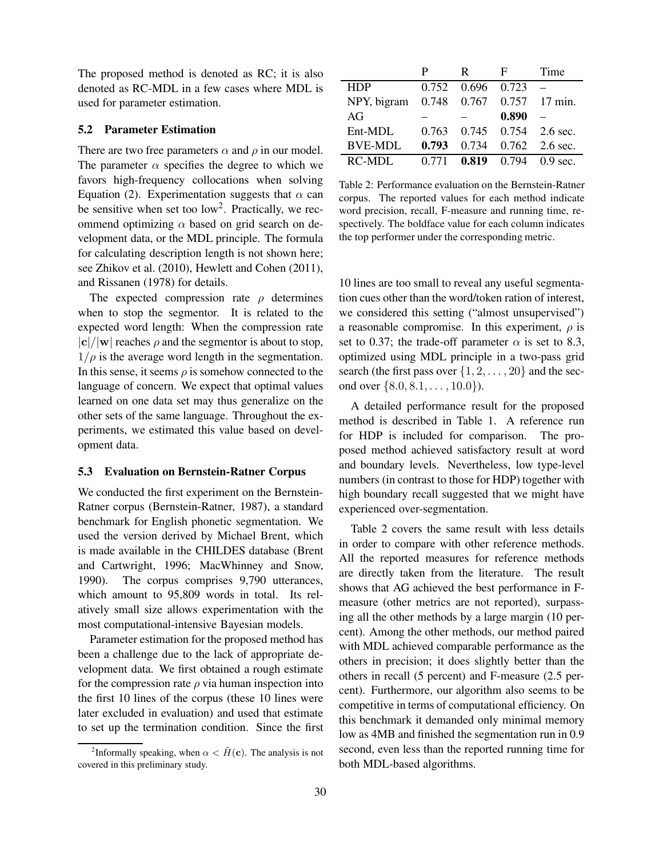The proposed method is denoted as RC; it is also denoted as RC-MDL in a few cases where MDL is used for parameter estimation.

### **5.2 Parameter Estimation**

There are two free parameters  $\alpha$  and  $\rho$  in our model. The parameter  $\alpha$  specifies the degree to which we favors high-frequency collocations when solving Equation (2). Experimentation suggests that  $\alpha$  can be sensitive when set too  $low^2$ . Practically, we recommend optimizing  $\alpha$  based on grid search on development data, or the MDL principle. The formula for calculating description length is not shown here; see Zhikov et al. (2010), Hewlett and Cohen (2011), and Rissanen (1978) for details.

The expected compression rate  $\rho$  determines when to stop the segmentor. It is related to the expected word length: When the compression rate  $|c|/|w|$  reaches  $\rho$  and the segmentor is about to stop,  $1/\rho$  is the average word length in the segmentation. In this sense, it seems  $\rho$  is somehow connected to the language of concern. We expect that optimal values learned on one data set may thus generalize on the other sets of the same language. Throughout the experiments, we estimated this value based on development data.

#### **5.3 Evaluation on Bernstein-Ratner Corpus**

We conducted the first experiment on the Bernstein-Ratner corpus (Bernstein-Ratner, 1987), a standard benchmark for English phonetic segmentation. We used the version derived by Michael Brent, which is made available in the CHILDES database (Brent and Cartwright, 1996; MacWhinney and Snow, 1990). The corpus comprises 9,790 utterances, which amount to 95,809 words in total. Its relatively small size allows experimentation with the most computational-intensive Bayesian models.

Parameter estimation for the proposed method has been a challenge due to the lack of appropriate development data. We first obtained a rough estimate for the compression rate  $\rho$  via human inspection into the first 10 lines of the corpus (these 10 lines were later excluded in evaluation) and used that estimate to set up the termination condition. Since the first

|                                       |       | R                 | н.            | Time                               |
|---------------------------------------|-------|-------------------|---------------|------------------------------------|
| <b>HDP</b>                            |       | 0.752 0.696 0.723 |               |                                    |
| NPY, bigram 0.748 0.767 0.757 17 min. |       |                   |               |                                    |
| AG                                    |       |                   | 0.890         |                                    |
| Ent-MDL                               |       |                   |               | $0.763$ $0.745$ $0.754$ $2.6$ sec. |
| <b>BVE-MDL</b>                        | 0.793 | 0.734             |               | $0.762 - 2.6$ sec.                 |
| <b>RC-MDL</b>                         | 0.771 |                   | $0.819$ 0.794 | $0.9 \text{ sec}$                  |

Table 2: Performance evaluation on the Bernstein-Ratner corpus. The reported values for each method indicate word precision, recall, F-measure and running time, respectively. The boldface value for each column indicates the top performer under the corresponding metric.

10 lines are too small to reveal any useful segmentation cues other than the word/token ration of interest, we considered this setting ("almost unsupervised") a reasonable compromise. In this experiment,  $\rho$  is set to 0.37; the trade-off parameter  $\alpha$  is set to 8.3, optimized using MDL principle in a two-pass grid search (the first pass over  $\{1, 2, \ldots, 20\}$  and the second over  $\{8.0, 8.1, \ldots, 10.0\}$ .

A detailed performance result for the proposed method is described in Table 1. A reference run for HDP is included for comparison. The proposed method achieved satisfactory result at word and boundary levels. Nevertheless, low type-level numbers (in contrast to those for HDP) together with high boundary recall suggested that we might have experienced over-segmentation.

Table 2 covers the same result with less details in order to compare with other reference methods. All the reported measures for reference methods are directly taken from the literature. The result shows that AG achieved the best performance in Fmeasure (other metrics are not reported), surpassing all the other methods by a large margin (10 percent). Among the other methods, our method paired with MDL achieved comparable performance as the others in precision; it does slightly better than the others in recall (5 percent) and F-measure (2.5 percent). Furthermore, our algorithm also seems to be competitive in terms of computational efficiency. On this benchmark it demanded only minimal memory low as 4MB and finished the segmentation run in 0.9 second, even less than the reported running time for both MDL-based algorithms.

<sup>&</sup>lt;sup>2</sup>Informally speaking, when  $\alpha < \tilde{H}(\mathbf{c})$ . The analysis is not covered in this preliminary study.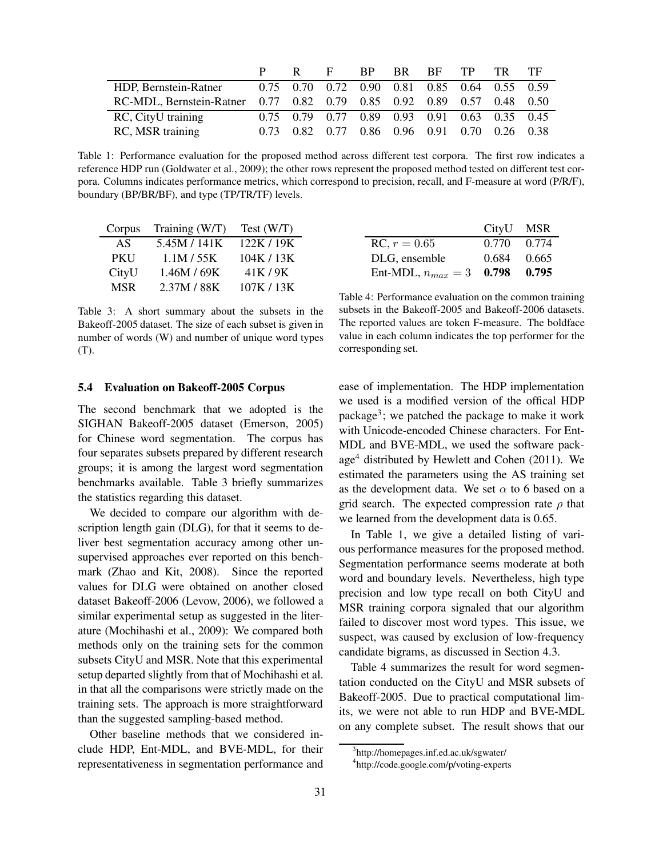|                                                                       |      |      | E.   | BP BR          | <b>RF</b> | TP | TR.                                          | . TF |
|-----------------------------------------------------------------------|------|------|------|----------------|-----------|----|----------------------------------------------|------|
| HDP, Bernstein-Ratner                                                 |      |      |      |                |           |    | 0.75 0.70 0.72 0.90 0.81 0.85 0.64 0.55 0.59 |      |
| RC-MDL, Bernstein-Ratner 0.77 0.82 0.79 0.85 0.92 0.89 0.57 0.48 0.50 |      |      |      |                |           |    |                                              |      |
| RC, CityU training                                                    |      |      |      |                |           |    | 0.75 0.79 0.77 0.89 0.93 0.91 0.63 0.35 0.45 |      |
| RC, MSR training                                                      | 0.73 | 0.82 | 0.77 | 0.86 0.96 0.91 |           |    | $0.70\quad 0.26\quad 0.38$                   |      |

Table 1: Performance evaluation for the proposed method across different test corpora. The first row indicates a reference HDP run (Goldwater et al., 2009); the other rows represent the proposed method tested on different test corpora. Columns indicates performance metrics, which correspond to precision, recall, and F-measure at word (P/R/F), boundary (BP/BR/BF), and type (TP/TR/TF) levels.

| Corpus     | Training (W/T) | Test (W/T) |
|------------|----------------|------------|
| AS         | 5.45M / 141K   | 122K / 19K |
| <b>PKU</b> | 1.1M / 55K     | 104K / 13K |
| CityU      | 1.46M / 69K    | 41K/9K     |
| <b>MSR</b> | 2.37M / 88K    | 107K/13K   |

Table 3: A short summary about the subsets in the Bakeoff-2005 dataset. The size of each subset is given in number of words (W) and number of unique word types (T).

### **5.4 Evaluation on Bakeoff-2005 Corpus**

The second benchmark that we adopted is the SIGHAN Bakeoff-2005 dataset (Emerson, 2005) for Chinese word segmentation. The corpus has four separates subsets prepared by different research groups; it is among the largest word segmentation benchmarks available. Table 3 briefly summarizes the statistics regarding this dataset.

We decided to compare our algorithm with description length gain (DLG), for that it seems to deliver best segmentation accuracy among other unsupervised approaches ever reported on this benchmark (Zhao and Kit, 2008). Since the reported values for DLG were obtained on another closed dataset Bakeoff-2006 (Levow, 2006), we followed a similar experimental setup as suggested in the literature (Mochihashi et al., 2009): We compared both methods only on the training sets for the common subsets CityU and MSR. Note that this experimental setup departed slightly from that of Mochihashi et al. in that all the comparisons were strictly made on the training sets. The approach is more straightforward than the suggested sampling-based method.

Other baseline methods that we considered include HDP, Ent-MDL, and BVE-MDL, for their representativeness in segmentation performance and

|                                    | CityU MSR     |  |
|------------------------------------|---------------|--|
| RC, $r = 0.65$                     | 0.770 0.774   |  |
| DLG, ensemble                      | $0.684$ 0.665 |  |
| Ent-MDL, $n_{max} = 3$ 0.798 0.795 |               |  |

Table 4: Performance evaluation on the common training subsets in the Bakeoff-2005 and Bakeoff-2006 datasets. The reported values are token F-measure. The boldface value in each column indicates the top performer for the corresponding set.

ease of implementation. The HDP implementation we used is a modified version of the offical HDP package<sup>3</sup>; we patched the package to make it work with Unicode-encoded Chinese characters. For Ent-MDL and BVE-MDL, we used the software package<sup>4</sup> distributed by Hewlett and Cohen (2011). We estimated the parameters using the AS training set as the development data. We set  $\alpha$  to 6 based on a grid search. The expected compression rate  $\rho$  that we learned from the development data is 0.65.

In Table 1, we give a detailed listing of various performance measures for the proposed method. Segmentation performance seems moderate at both word and boundary levels. Nevertheless, high type precision and low type recall on both CityU and MSR training corpora signaled that our algorithm failed to discover most word types. This issue, we suspect, was caused by exclusion of low-frequency candidate bigrams, as discussed in Section 4.3.

Table 4 summarizes the result for word segmentation conducted on the CityU and MSR subsets of Bakeoff-2005. Due to practical computational limits, we were not able to run HDP and BVE-MDL on any complete subset. The result shows that our

<sup>3</sup> http://homepages.inf.ed.ac.uk/sgwater/

<sup>4</sup> http://code.google.com/p/voting-experts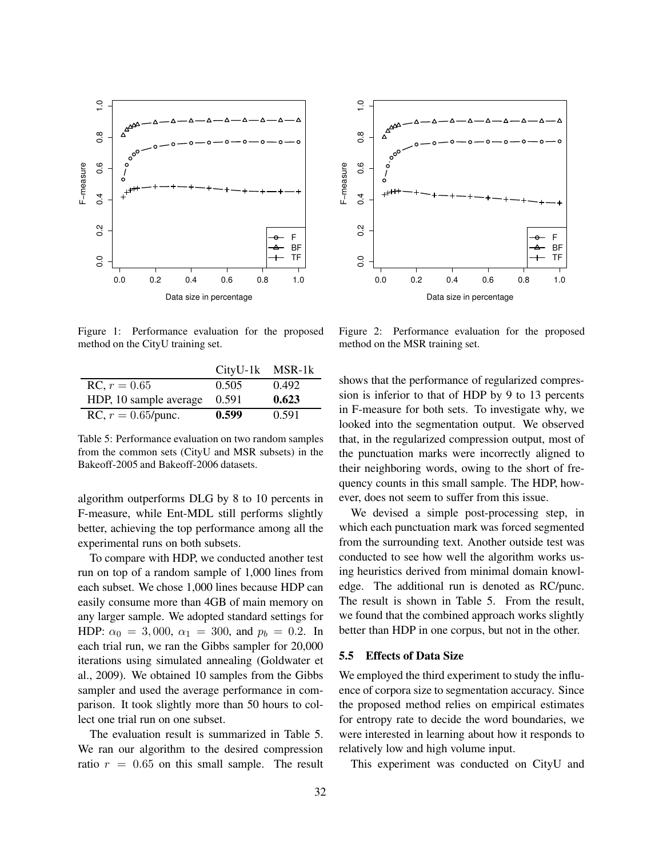

Figure 1: Performance evaluation for the proposed method on the CityU training set.

|                        | $CityU-1k$ MSR-1 $k$ |       |
|------------------------|----------------------|-------|
| RC, $r = 0.65$         | 0.505                | 0.492 |
| HDP, 10 sample average | 0.591                | 0.623 |
| RC, $r = 0.65$ /punc.  | 0.599                | 0.591 |

Table 5: Performance evaluation on two random samples from the common sets (CityU and MSR subsets) in the Bakeoff-2005 and Bakeoff-2006 datasets.

algorithm outperforms DLG by 8 to 10 percents in F-measure, while Ent-MDL still performs slightly better, achieving the top performance among all the experimental runs on both subsets.

To compare with HDP, we conducted another test run on top of a random sample of 1,000 lines from each subset. We chose 1,000 lines because HDP can easily consume more than 4GB of main memory on any larger sample. We adopted standard settings for HDP:  $\alpha_0 = 3,000, \alpha_1 = 300, \text{ and } p_b = 0.2.$  In each trial run, we ran the Gibbs sampler for 20,000 iterations using simulated annealing (Goldwater et al., 2009). We obtained 10 samples from the Gibbs sampler and used the average performance in comparison. It took slightly more than 50 hours to collect one trial run on one subset.

The evaluation result is summarized in Table 5. We ran our algorithm to the desired compression ratio  $r = 0.65$  on this small sample. The result



Figure 2: Performance evaluation for the proposed method on the MSR training set.

shows that the performance of regularized compression is inferior to that of HDP by 9 to 13 percents in F-measure for both sets. To investigate why, we looked into the segmentation output. We observed that, in the regularized compression output, most of the punctuation marks were incorrectly aligned to their neighboring words, owing to the short of frequency counts in this small sample. The HDP, however, does not seem to suffer from this issue.

We devised a simple post-processing step, in which each punctuation mark was forced segmented from the surrounding text. Another outside test was conducted to see how well the algorithm works using heuristics derived from minimal domain knowledge. The additional run is denoted as RC/punc. The result is shown in Table 5. From the result, we found that the combined approach works slightly better than HDP in one corpus, but not in the other.

#### **5.5 Effects of Data Size**

We employed the third experiment to study the influence of corpora size to segmentation accuracy. Since the proposed method relies on empirical estimates for entropy rate to decide the word boundaries, we were interested in learning about how it responds to relatively low and high volume input.

This experiment was conducted on CityU and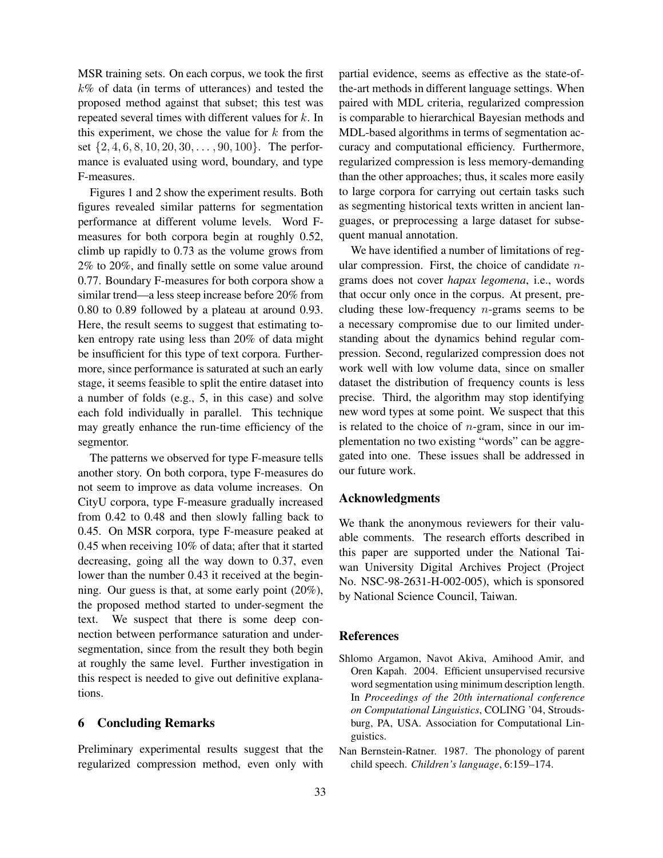MSR training sets. On each corpus, we took the first  $k\%$  of data (in terms of utterances) and tested the proposed method against that subset; this test was repeated several times with different values for  $k$ . In this experiment, we chose the value for  $k$  from the set  $\{2, 4, 6, 8, 10, 20, 30, \ldots, 90, 100\}$ . The performance is evaluated using word, boundary, and type F-measures.

Figures 1 and 2 show the experiment results. Both figures revealed similar patterns for segmentation performance at different volume levels. Word Fmeasures for both corpora begin at roughly 0.52, climb up rapidly to 0.73 as the volume grows from 2% to 20%, and finally settle on some value around 0.77. Boundary F-measures for both corpora show a similar trend—a less steep increase before 20% from 0.80 to 0.89 followed by a plateau at around 0.93. Here, the result seems to suggest that estimating token entropy rate using less than 20% of data might be insufficient for this type of text corpora. Furthermore, since performance is saturated at such an early stage, it seems feasible to split the entire dataset into a number of folds (e.g., 5, in this case) and solve each fold individually in parallel. This technique may greatly enhance the run-time efficiency of the segmentor.

The patterns we observed for type F-measure tells another story. On both corpora, type F-measures do not seem to improve as data volume increases. On CityU corpora, type F-measure gradually increased from 0.42 to 0.48 and then slowly falling back to 0.45. On MSR corpora, type F-measure peaked at 0.45 when receiving 10% of data; after that it started decreasing, going all the way down to 0.37, even lower than the number 0.43 it received at the beginning. Our guess is that, at some early point (20%), the proposed method started to under-segment the text. We suspect that there is some deep connection between performance saturation and undersegmentation, since from the result they both begin at roughly the same level. Further investigation in this respect is needed to give out definitive explanations.

## **6 Concluding Remarks**

Preliminary experimental results suggest that the regularized compression method, even only with partial evidence, seems as effective as the state-ofthe-art methods in different language settings. When paired with MDL criteria, regularized compression is comparable to hierarchical Bayesian methods and MDL-based algorithms in terms of segmentation accuracy and computational efficiency. Furthermore, regularized compression is less memory-demanding than the other approaches; thus, it scales more easily to large corpora for carrying out certain tasks such as segmenting historical texts written in ancient languages, or preprocessing a large dataset for subsequent manual annotation.

We have identified a number of limitations of regular compression. First, the choice of candidate  $n$ grams does not cover *hapax legomena*, i.e., words that occur only once in the corpus. At present, precluding these low-frequency  $n$ -grams seems to be a necessary compromise due to our limited understanding about the dynamics behind regular compression. Second, regularized compression does not work well with low volume data, since on smaller dataset the distribution of frequency counts is less precise. Third, the algorithm may stop identifying new word types at some point. We suspect that this is related to the choice of  $n$ -gram, since in our implementation no two existing "words" can be aggregated into one. These issues shall be addressed in our future work.

### **Acknowledgments**

We thank the anonymous reviewers for their valuable comments. The research efforts described in this paper are supported under the National Taiwan University Digital Archives Project (Project No. NSC-98-2631-H-002-005), which is sponsored by National Science Council, Taiwan.

### **References**

- Shlomo Argamon, Navot Akiva, Amihood Amir, and Oren Kapah. 2004. Efficient unsupervised recursive word segmentation using minimum description length. In *Proceedings of the 20th international conference on Computational Linguistics*, COLING '04, Stroudsburg, PA, USA. Association for Computational Linguistics.
- Nan Bernstein-Ratner. 1987. The phonology of parent child speech. *Children's language*, 6:159–174.